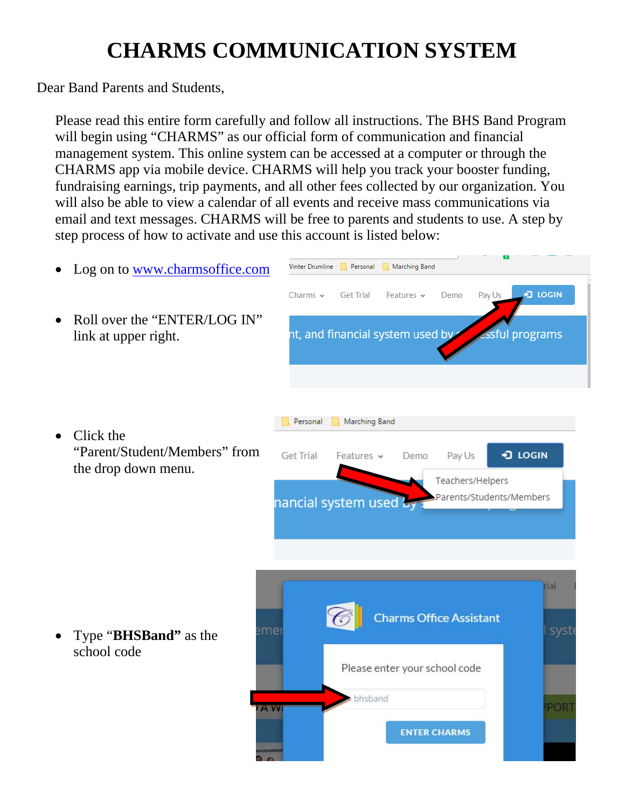## **CHARMS COMMUNICATION SYSTEM**

Dear Band Parents and Students,

Please read this entire form carefully and follow all instructions. The BHS Band Program will begin using "CHARMS" as our official form of communication and financial management system. This online system can be accessed at a computer or through the CHARMS app via mobile device. CHARMS will help you track your booster funding, fundraising earnings, trip payments, and all other fees collected by our organization. You will also be able to view a calendar of all events and receive mass communications via email and text messages. CHARMS will be free to parents and students to use. A step by step process of how to activate and use this account is listed below: